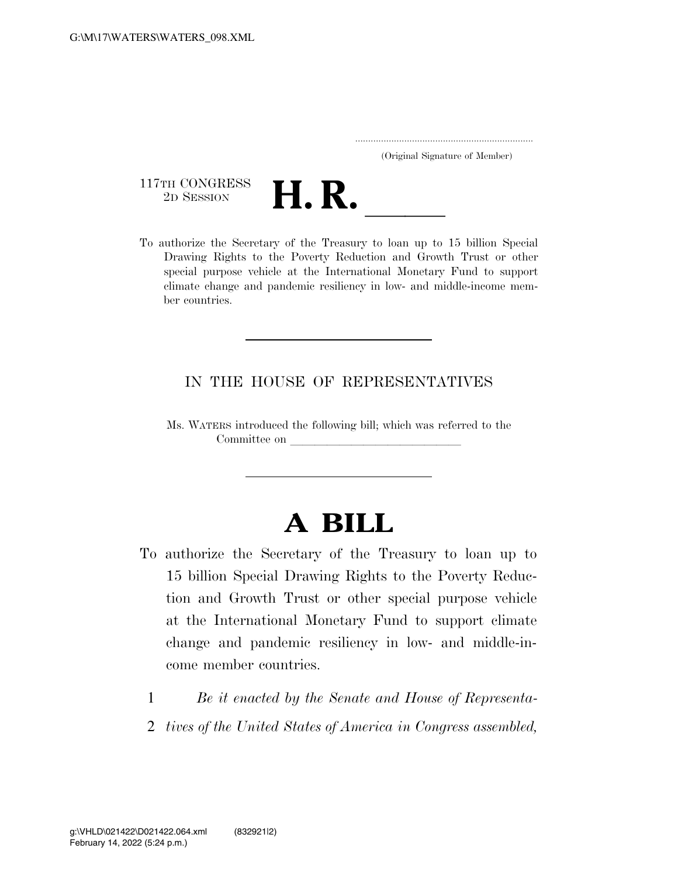|  | (Original Signature of Member) |  |
|--|--------------------------------|--|

117TH CONGRESS<br>2D SESSION



117TH CONGRESS<br>
2D SESSION<br>
To authorize the Secretary of the Treasury to loan up to 15 billion Special Drawing Rights to the Poverty Reduction and Growth Trust or other special purpose vehicle at the International Monetary Fund to support climate change and pandemic resiliency in low- and middle-income member countries.

## IN THE HOUSE OF REPRESENTATIVES

Ms. WATERS introduced the following bill; which was referred to the Committee on

## **A BILL**

- To authorize the Secretary of the Treasury to loan up to 15 billion Special Drawing Rights to the Poverty Reduction and Growth Trust or other special purpose vehicle at the International Monetary Fund to support climate change and pandemic resiliency in low- and middle-income member countries.
	- 1 *Be it enacted by the Senate and House of Representa-*
	- 2 *tives of the United States of America in Congress assembled,*